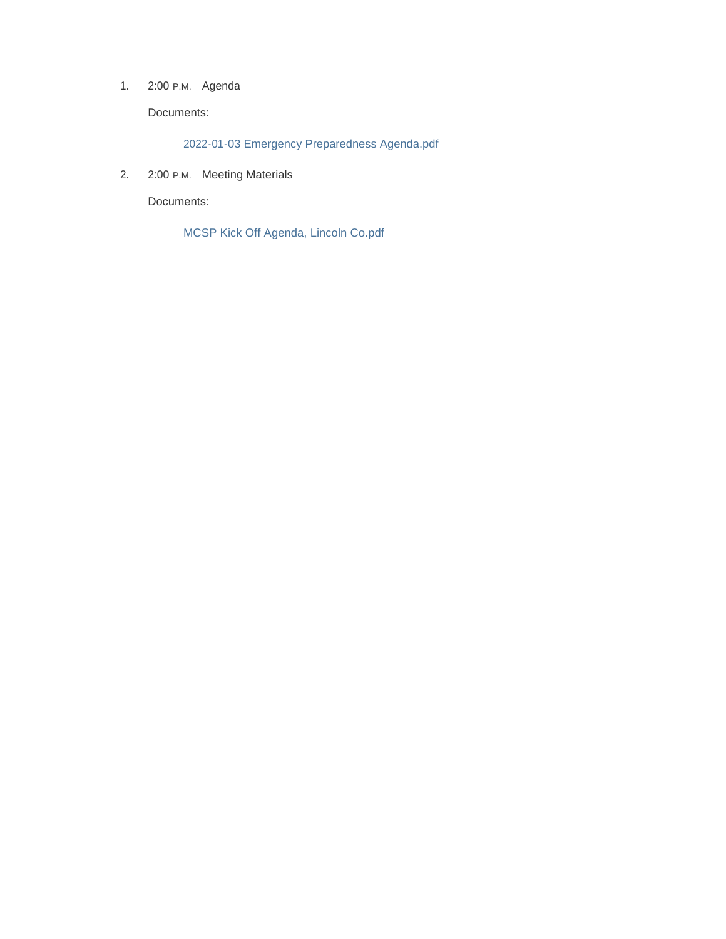1. 2:00 P.M. Agenda

Documents:

2022-01-03 Emergency Preparedness Agenda.pdf

2. 2:00 P.M. Meeting Materials

Documents:

MCSP Kick Off Agenda, Lincoln Co.pdf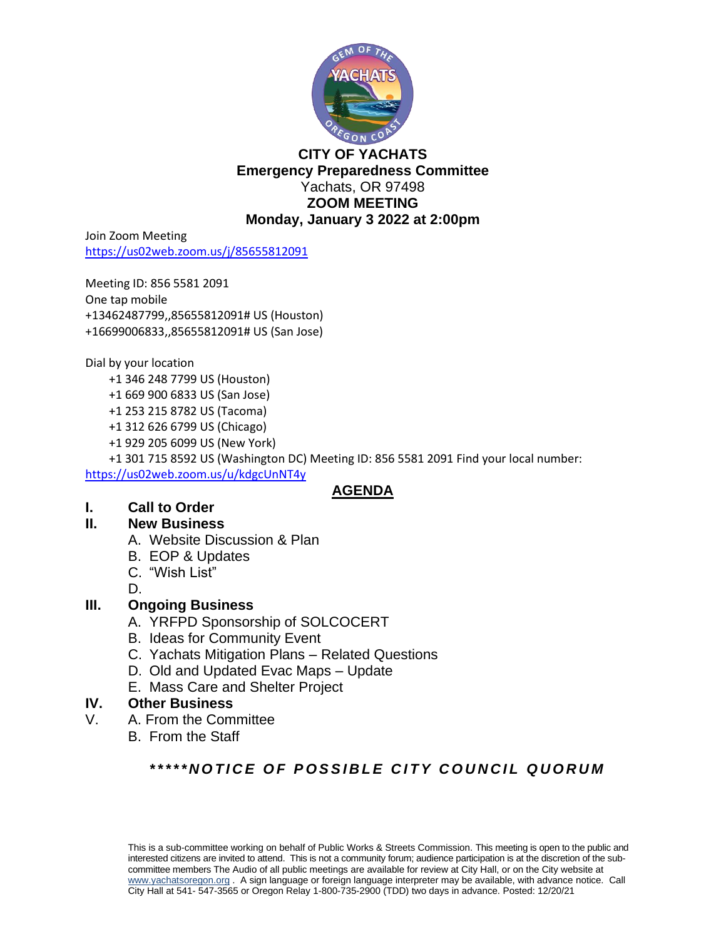

# **CITY OF YACHATS Emergency Preparedness Committee** Yachats, OR 97498 **ZOOM MEETING Monday, January 3 2022 at 2:00pm**

Join Zoom Meeting <https://us02web.zoom.us/j/85655812091>

Meeting ID: 856 5581 2091 One tap mobile +13462487799,,85655812091# US (Houston) +16699006833,,85655812091# US (San Jose)

Dial by your location

- +1 346 248 7799 US (Houston)
- +1 669 900 6833 US (San Jose)
- +1 253 215 8782 US (Tacoma)
- +1 312 626 6799 US (Chicago)
- +1 929 205 6099 US (New York)

 +1 301 715 8592 US (Washington DC) Meeting ID: 856 5581 2091 Find your local number: <https://us02web.zoom.us/u/kdgcUnNT4y>

# **AGENDA**

# **I. Call to Order**

# **II. New Business**

- A. Website Discussion & Plan
- B. EOP & Updates
- C. "Wish List"

D.

# **III. Ongoing Business**

- A. YRFPD Sponsorship of SOLCOCERT
- B. Ideas for Community Event
- C. Yachats Mitigation Plans Related Questions
- D. Old and Updated Evac Maps Update
- E. Mass Care and Shelter Project

# **IV. Other Business**

- V. A. From the Committee
	- B. From the Staff

# *\* \* \* \* \* N O T I C E O F P O S S I B L E C I T Y C O U N C I L Q U O R U M*

This is a sub-committee working on behalf of Public Works & Streets Commission. This meeting is open to the public and interested citizens are invited to attend. This is not a community forum; audience participation is at the discretion of the subcommittee members The Audio of all public meetings are available for review at City Hall, or on the City website at [www.yachatsoregon.or](http://www.yachatsoregon.o/)g . A sign language or foreign language interpreter may be available, with advance notice. Call City Hall at 541- 547-3565 or Oregon Relay 1-800-735-2900 (TDD) two days in advance. Posted: 12/20/21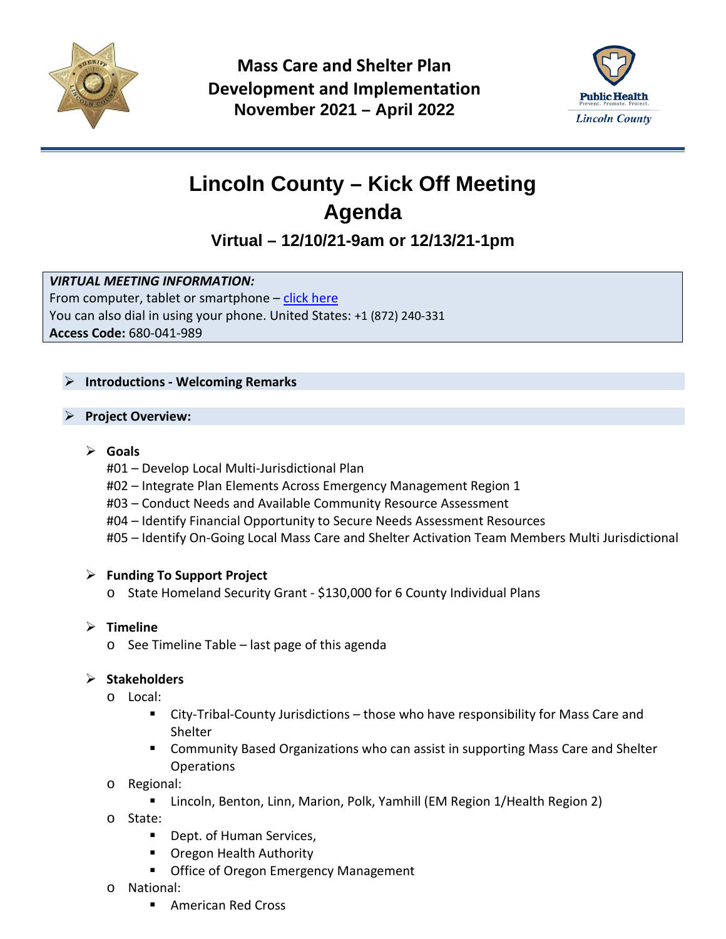

**Mass Care and Shelter Plan Development and Implementation November 2021 – April 2022**



# **Lincoln County – Kick Off Meeting Agenda**

# **Virtual – 12/10/21-9am or 12/13/21-1pm**

# *VIRTUAL MEETING INFORMATION:*

From computer, tablet or smartphone  $-$  [click here](https://www.google.com/url?q=https://global.gotomeeting.com/join/680041989&sa=D&source=calendar&ust=1639580186606290&usg=AOvVaw2fuDA9c3d3drMxkdn5qEwG) You can also dial in using your phone. United States: +1 (872) 240-331 **Access Code:** 680-041-989

# **Introductions - Welcoming Remarks**

# **Project Overview:**

# **Goals**

- #01 Develop Local Multi-Jurisdictional Plan
- #02 Integrate Plan Elements Across Emergency Management Region 1
- #03 Conduct Needs and Available Community Resource Assessment
- #04 Identify Financial Opportunity to Secure Needs Assessment Resources
- #05 Identify On-Going Local Mass Care and Shelter Activation Team Members Multi Jurisdictional

# **Funding To Support Project**

o State Homeland Security Grant - \$130,000 for 6 County Individual Plans

# **Timeline**

o See Timeline Table – last page of this agenda

# **Stakeholders**

- o Local:
	- City-Tribal-County Jurisdictions those who have responsibility for Mass Care and Shelter
	- Community Based Organizations who can assist in supporting Mass Care and Shelter **Operations**
- o Regional:
	- Lincoln, Benton, Linn, Marion, Polk, Yamhill (EM Region 1/Health Region 2)
- o State:
	- **Dept. of Human Services,**
	- Oregon Health Authority
	- **Office of Oregon Emergency Management**
- o National:
	- American Red Cross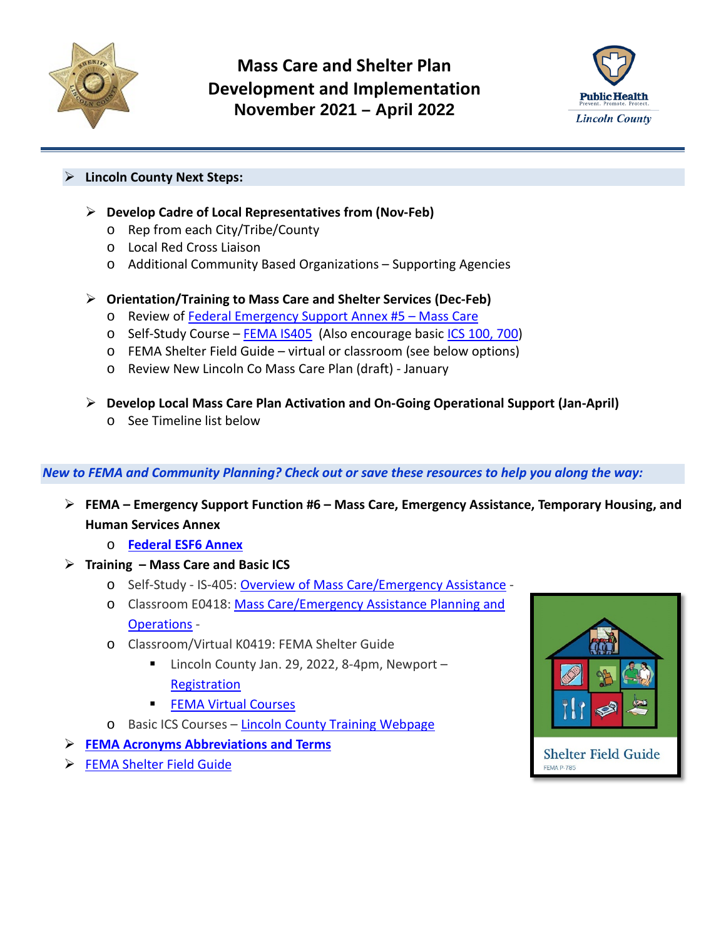



# **Lincoln County Next Steps:**

- **Develop Cadre of Local Representatives from (Nov-Feb)**
	- o Rep from each City/Tribe/County
	- o Local Red Cross Liaison
	- o Additional Community Based Organizations Supporting Agencies
- **Orientation/Training to Mass Care and Shelter Services (Dec-Feb)**
	- o Review of [Federal Emergency Support Annex #5 –](https://www.google.com/url?sa=t&rct=j&q=&esrc=s&source=web&cd=&ved=2ahUKEwjT64b_wNn0AhU_LTQIHUD3DNYQFnoECBYQAQ&url=https%3A%2F%2Fwww.fema.gov%2Fsites%2Fdefault%2Ffiles%2F2020-07%2Ffema_ESF_6_Mass-Care.pdf&usg=AOvVaw1k0clUIbfVabpmpwi8XEOW) Mass Care
	- o Self-Study Course [FEMA IS405](https://training.fema.gov/is/courseoverview.aspx?code=IS-405) (Also encourage basic [ICS 100, 700\)](https://www.co.lincoln.or.us/emergencymanagement/page/training-nims-responder-emergency-mgmt-public-official-public-information)
	- o FEMA Shelter Field Guide virtual or classroom (see below options)
	- o Review New Lincoln Co Mass Care Plan (draft) January
- **Develop Local Mass Care Plan Activation and On-Going Operational Support (Jan-April)**
	- o See Timeline list below

# *New to FEMA and Community Planning? Check out or save these resources to help you along the way:*

- **FEMA – Emergency Support Function #6 – Mass Care, Emergency Assistance, Temporary Housing, and Human Services Annex**
	- o **[Federal ESF6 Annex](https://www.google.com/url?sa=t&rct=j&q=&esrc=s&source=web&cd=&ved=2ahUKEwjT64b_wNn0AhU_LTQIHUD3DNYQFnoECBYQAQ&url=https%3A%2F%2Fwww.fema.gov%2Fsites%2Fdefault%2Ffiles%2F2020-07%2Ffema_ESF_6_Mass-Care.pdf&usg=AOvVaw1k0clUIbfVabpmpwi8XEOW)**
- **Training – Mass Care and Basic ICS**
	- o Self-Study IS-405[: Overview of Mass Care/Emergency Assistance](https://training.fema.gov/is/courseoverview.aspx?code=IS-405) -
	- o Classroom E0418: [Mass Care/Emergency Assistance Planning and](https://training.fema.gov/emigrams/2021/1687-training%20opportunity-e0418%20mass%20care%20emergency%20assistance%20planning%20and%20operations.pdf?d=10/29/2021)  [Operations](https://training.fema.gov/emigrams/2021/1687-training%20opportunity-e0418%20mass%20care%20emergency%20assistance%20planning%20and%20operations.pdf?d=10/29/2021) -
	- o Classroom/Virtual K0419: FEMA Shelter Guide
		- Lincoln County Jan. 29, 2022, 8-4pm, Newport **[Registration](https://www.eventbrite.com/e/shelter-field-guide-training-tickets-205350618227)**
		- [FEMA Virtual Courses](https://training.fema.gov/emigrams/2021/1681%20-%20training%20opportunity%20-%20k0419%20shelter%20field%20guide%20training.pdf?d=9/27/2021)
	- o Basic ICS Courses [Lincoln County Training Webpage](https://www.co.lincoln.or.us/emergencymanagement/page/training-nims-responder-emergency-mgmt-public-official-public-information)
- **[FEMA Acronyms Abbreviations and Terms](https://www.fema.gov/pdf/plan/prepare/faatlist07_09.pdf)**
- **[FEMA Shelter Field Guide](https://www.google.com/url?sa=t&rct=j&q=&esrc=s&source=web&cd=&ved=2ahUKEwi55sPkxNn0AhXgEDQIHb0FDEMQFnoECAgQAQ&url=http%3A%2F%2Fwww.nationalmasscarestrategy.org%2Fwp-content%2Fuploads%2F2015%2F10%2FShelter-Field-Guide-508_f3.pdf&usg=AOvVaw0ctjvHsRJpFcttlX4SgOjr)**